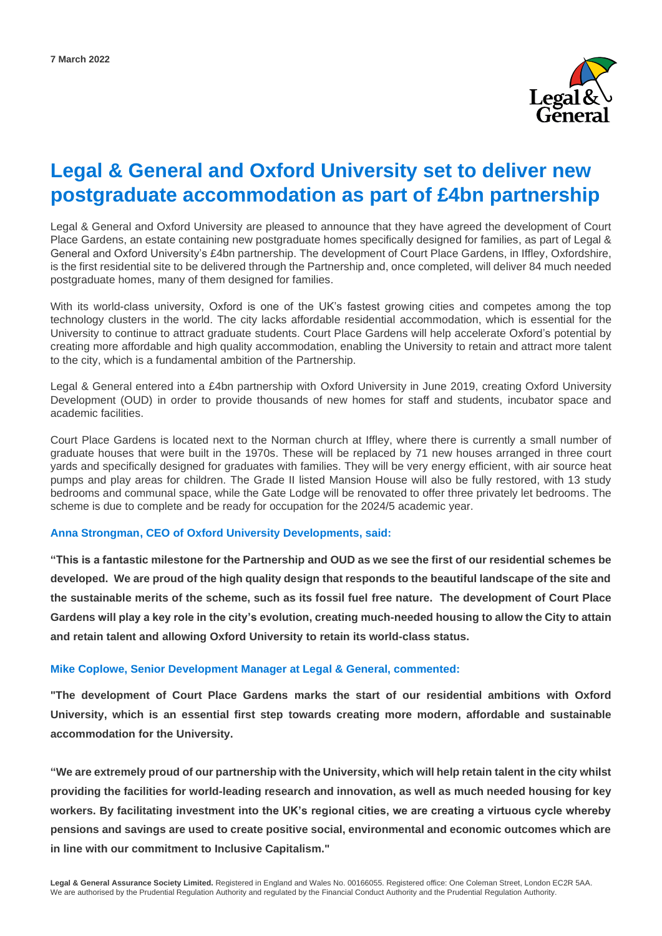

# **Legal & General and Oxford University set to deliver new postgraduate accommodation as part of £4bn partnership**

Legal & General and Oxford University are pleased to announce that they have agreed the development of Court Place Gardens, an estate containing new postgraduate homes specifically designed for families, as part of Legal & General and Oxford University's £4bn partnership. The development of Court Place Gardens, in Iffley, Oxfordshire, is the first residential site to be delivered through the Partnership and, once completed, will deliver 84 much needed postgraduate homes, many of them designed for families.

With its world-class university, Oxford is one of the UK's fastest growing cities and competes among the top technology clusters in the world. The city lacks affordable residential accommodation, which is essential for the University to continue to attract graduate students. Court Place Gardens will help accelerate Oxford's potential by creating more affordable and high quality accommodation, enabling the University to retain and attract more talent to the city, which is a fundamental ambition of the Partnership.

Legal & General entered into a £4bn partnership with Oxford University in June 2019, creating Oxford University Development (OUD) in order to provide thousands of new homes for staff and students, incubator space and academic facilities.

Court Place Gardens is located next to the Norman church at Iffley, where there is currently a small number of graduate houses that were built in the 1970s. These will be replaced by 71 new houses arranged in three court yards and specifically designed for graduates with families. They will be very energy efficient, with air source heat pumps and play areas for children. The Grade II listed Mansion House will also be fully restored, with 13 study bedrooms and communal space, while the Gate Lodge will be renovated to offer three privately let bedrooms. The scheme is due to complete and be ready for occupation for the 2024/5 academic year.

#### **Anna Strongman, CEO of Oxford University Developments, said:**

**"This is a fantastic milestone for the Partnership and OUD as we see the first of our residential schemes be developed. We are proud of the high quality design that responds to the beautiful landscape of the site and the sustainable merits of the scheme, such as its fossil fuel free nature. The development of Court Place Gardens will play a key role in the city's evolution, creating much-needed housing to allow the City to attain and retain talent and allowing Oxford University to retain its world-class status.** 

#### **Mike Coplowe, Senior Development Manager at Legal & General, commented:**

**"The development of Court Place Gardens marks the start of our residential ambitions with Oxford University, which is an essential first step towards creating more modern, affordable and sustainable accommodation for the University.**

**"We are extremely proud of our partnership with the University, which will help retain talent in the city whilst providing the facilities for world-leading research and innovation, as well as much needed housing for key workers. By facilitating investment into the UK's regional cities, we are creating a virtuous cycle whereby pensions and savings are used to create positive social, environmental and economic outcomes which are in line with our commitment to Inclusive Capitalism."**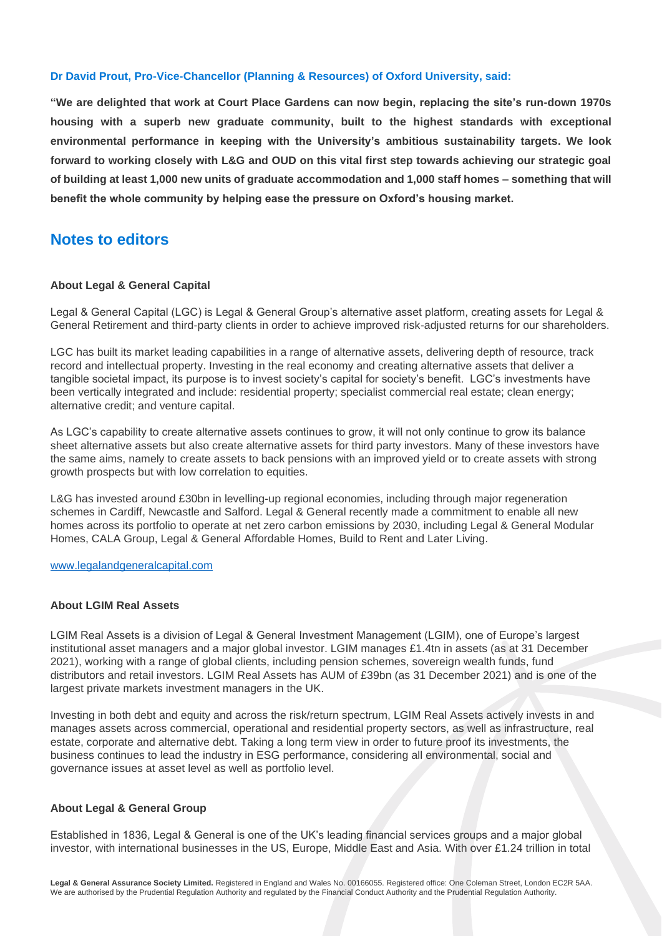### **Dr David Prout, Pro-Vice-Chancellor (Planning & Resources) of Oxford University, said:**

**"We are delighted that work at Court Place Gardens can now begin, replacing the site's run-down 1970s housing with a superb new graduate community, built to the highest standards with exceptional environmental performance in keeping with the University's ambitious sustainability targets. We look forward to working closely with L&G and OUD on this vital first step towards achieving our strategic goal of building at least 1,000 new units of graduate accommodation and 1,000 staff homes – something that will benefit the whole community by helping ease the pressure on Oxford's housing market.**

# **Notes to editors**

#### **About Legal & General Capital**

Legal & General Capital (LGC) is Legal & General Group's alternative asset platform, creating assets for Legal & General Retirement and third-party clients in order to achieve improved risk-adjusted returns for our shareholders.

LGC has built its market leading capabilities in a range of alternative assets, delivering depth of resource, track record and intellectual property. Investing in the real economy and creating alternative assets that deliver a tangible societal impact, its purpose is to invest society's capital for society's benefit. LGC's investments have been vertically integrated and include: residential property; specialist commercial real estate; clean energy; alternative credit; and venture capital.

As LGC's capability to create alternative assets continues to grow, it will not only continue to grow its balance sheet alternative assets but also create alternative assets for third party investors. Many of these investors have the same aims, namely to create assets to back pensions with an improved yield or to create assets with strong growth prospects but with low correlation to equities.

L&G has invested around £30bn in levelling-up regional economies, including through major regeneration schemes in Cardiff, Newcastle and Salford. Legal & General recently made a commitment to enable all new homes across its portfolio to operate at net zero carbon emissions by 2030, including Legal & General Modular Homes, CALA Group, Legal & General Affordable Homes, Build to Rent and Later Living.

[www.legalandgeneralcapital.com](http://www.legalandgeneralcapital.com/)

## **About LGIM Real Assets**

LGIM Real Assets is a division of Legal & General Investment Management (LGIM), one of Europe's largest institutional asset managers and a major global investor. LGIM manages £1.4tn in assets (as at 31 December 2021), working with a range of global clients, including pension schemes, sovereign wealth funds, fund distributors and retail investors. LGIM Real Assets has AUM of £39bn (as 31 December 2021) and is one of the largest private markets investment managers in the UK.

Investing in both debt and equity and across the risk/return spectrum, LGIM Real Assets actively invests in and manages assets across commercial, operational and residential property sectors, as well as infrastructure, real estate, corporate and alternative debt. Taking a long term view in order to future proof its investments, the business continues to lead the industry in ESG performance, considering all environmental, social and governance issues at asset level as well as portfolio level.

## **About Legal & General Group**

Established in 1836, Legal & General is one of the UK's leading financial services groups and a major global investor, with international businesses in the US, Europe, Middle East and Asia. With over £1.24 trillion in total